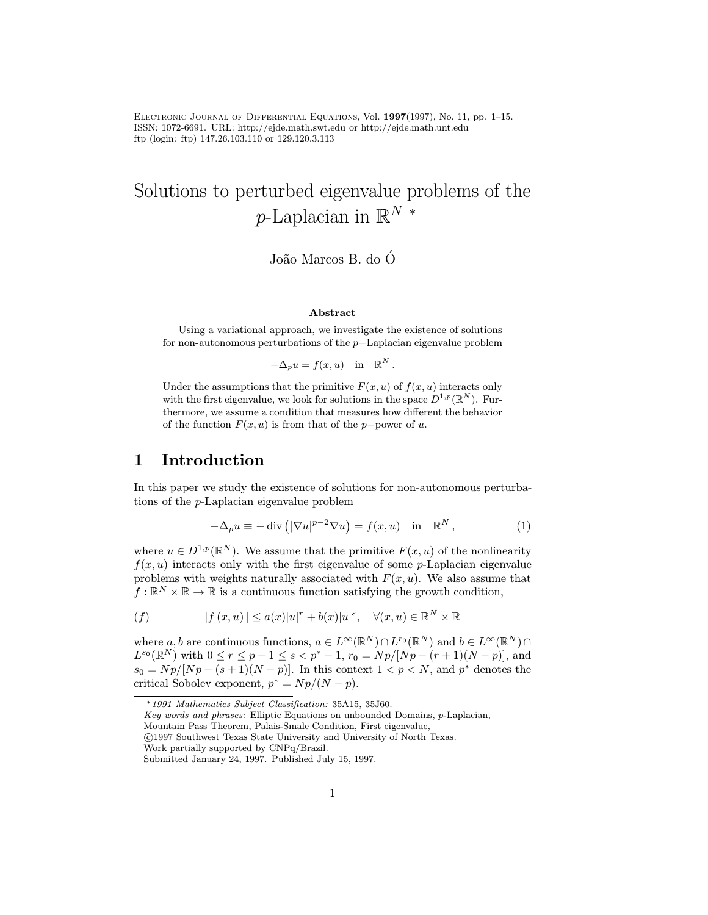Electronic Journal of Differential Equations, Vol. 1997(1997), No. 11, pp. 1–15. ISSN: 1072-6691. URL: http://ejde.math.swt.edu or http://ejde.math.unt.edu ftp (login: ftp) 147.26.103.110 or 129.120.3.113

# Solutions to perturbed eigenvalue problems of the p-Laplacian in  $\mathbb{R}^N$  \*

João Marcos B. do Ó

#### Abstract

Using a variational approach, we investigate the existence of solutions for non-autonomous perturbations of the p−Laplacian eigenvalue problem

$$
-\Delta_p u = f(x, u) \quad \text{in} \quad \mathbb{R}^N.
$$

Under the assumptions that the primitive  $F(x, u)$  of  $f(x, u)$  interacts only with the first eigenvalue, we look for solutions in the space  $D^{1,p}(\mathbb{R}^N)$ . Furthermore, we assume a condition that measures how different the behavior of the function  $F(x, u)$  is from that of the p−power of u.

### 1 Introduction

In this paper we study the existence of solutions for non-autonomous perturbations of the p-Laplacian eigenvalue problem

$$
-\Delta_p u \equiv -\operatorname{div}\left(|\nabla u|^{p-2}\nabla u\right) = f(x, u) \quad \text{in} \quad \mathbb{R}^N, \tag{1}
$$

where  $u \in D^{1,p}(\mathbb{R}^N)$ . We assume that the primitive  $F(x, u)$  of the nonlinearity  $f(x, u)$  interacts only with the first eigenvalue of some p-Laplacian eigenvalue problems with weights naturally associated with  $F(x, u)$ . We also assume that  $f: \mathbb{R}^N \times \mathbb{R} \to \mathbb{R}$  is a continuous function satisfying the growth condition,

$$
(f) \t\t |f(x,u)| \leq a(x)|u|^{r} + b(x)|u|^{s}, \quad \forall (x,u) \in \mathbb{R}^{N} \times \mathbb{R}
$$

where a, b are continuous functions,  $a \in L^{\infty}(\mathbb{R}^N) \cap L^{r_0}(\mathbb{R}^N)$  and  $b \in L^{\infty}(\mathbb{R}^N) \cap L^{r_0}(\mathbb{R}^N)$  $L^{s_0}(\mathbb{R}^N)$  with  $0 \le r \le p-1 \le s < p^* - 1$ ,  $r_0 = Np/|Np - (r+1)(N-p)|$ , and  $s_0 = Np/[Np - (s+1)(N-p)]$ . In this context  $1 < p < N$ , and  $p^*$  denotes the critical Sobolev exponent,  $p^* = Np/(N - p)$ .

Key words and phrases: Elliptic Equations on unbounded Domains, p-Laplacian,

c 1997 Southwest Texas State University and University of North Texas.

<sup>∗</sup>1991 Mathematics Subject Classification: 35A15, 35J60.

Mountain Pass Theorem, Palais-Smale Condition, First eigenvalue,

Work partially supported by CNPq/Brazil.

Submitted January 24, 1997. Published July 15, 1997.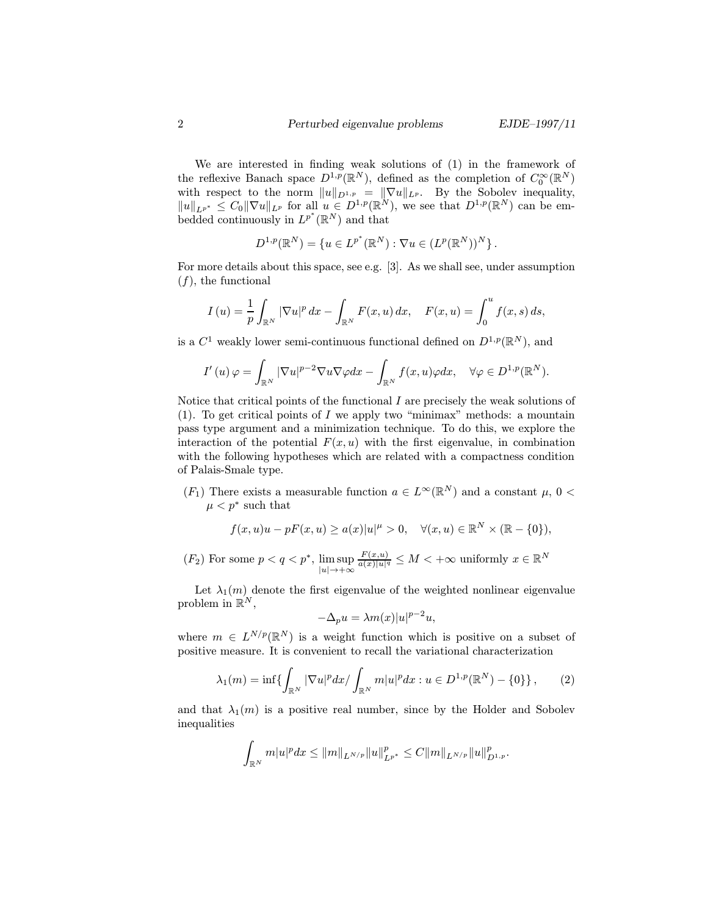We are interested in finding weak solutions of (1) in the framework of the reflexive Banach space  $D^{1,p}(\mathbb{R}^N)$ , defined as the completion of  $C_0^{\infty}(\mathbb{R}^N)$ with respect to the norm  $||u||_{D^{1,p}} = ||\nabla u||_{L^p}$ . By the Sobolev inequality,  $||u||_{L^{p^*}} \leq C_0 ||\nabla u||_{L^p}$  for all  $u \in D^{1,p}(\mathbb{R}^N)$ , we see that  $D^{1,p}(\mathbb{R}^N)$  can be embedded continuously in  $L^{p^*}(\mathbb{R}^N)$  and that

$$
D^{1,p}(\mathbb{R}^N) = \{u \in L^{p^*}(\mathbb{R}^N) : \nabla u \in (L^p(\mathbb{R}^N))^N \}.
$$

For more details about this space, see e.g. [3]. As we shall see, under assumption  $(f)$ , the functional

$$
I\left(u\right)=\frac{1}{p}\int_{\mathbb{R}^N}|\nabla u|^p\,dx-\int_{\mathbb{R}^N}F(x,u)\,dx,\quad F(x,u)=\int_0^u f(x,s)\,ds,
$$

is a  $C^1$  weakly lower semi-continuous functional defined on  $D^{1,p}(\mathbb{R}^N)$ , and

$$
I'\left(u\right)\varphi=\int_{\mathbb{R}^N}|\nabla u|^{p-2}\nabla u\nabla \varphi dx-\int_{\mathbb{R}^N}f(x,u)\varphi dx, \quad \forall \varphi \in D^{1,p}(\mathbb{R}^N).
$$

Notice that critical points of the functional  $I$  are precisely the weak solutions of (1). To get critical points of I we apply two "minimax" methods: a mountain pass type argument and a minimization technique. To do this, we explore the interaction of the potential  $F(x, u)$  with the first eigenvalue, in combination with the following hypotheses which are related with a compactness condition of Palais-Smale type.

 $(F_1)$  There exists a measurable function  $a \in L^{\infty}(\mathbb{R}^N)$  and a constant  $\mu$ ,  $0 <$  $\mu < p^*$  such that

$$
f(x, u)u - pF(x, u) \ge a(x)|u|^{\mu} > 0, \quad \forall (x, u) \in \mathbb{R}^N \times (\mathbb{R} - \{0\}),
$$

 $(F_2)$  For some  $p < q < p^*$ ,  $\limsup_{|u| \to +\infty}$  $\frac{F(x,u)}{a(x)|u|^q} \leq M < +\infty$  uniformly  $x \in \mathbb{R}^N$ 

Let  $\lambda_1(m)$  denote the first eigenvalue of the weighted nonlinear eigenvalue problem in  $\mathbb{R}^N$ ,

$$
-\Delta_p u = \lambda m(x)|u|^{p-2}u,
$$

where  $m \in L^{N/p}(\mathbb{R}^N)$  is a weight function which is positive on a subset of positive measure. It is convenient to recall the variational characterization

$$
\lambda_1(m) = \inf \{ \int_{\mathbb{R}^N} |\nabla u|^p dx / \int_{\mathbb{R}^N} m |u|^p dx : u \in D^{1,p}(\mathbb{R}^N) - \{0\} \},\qquad(2)
$$

and that  $\lambda_1(m)$  is a positive real number, since by the Holder and Sobolev inequalities

$$
\int_{\mathbb{R}^N} m|u|^p dx \leq \|m\|_{L^{N/p}} \|u\|_{L^{p^*}}^p \leq C \|m\|_{L^{N/p}} \|u\|_{D^{1,p}}^p.
$$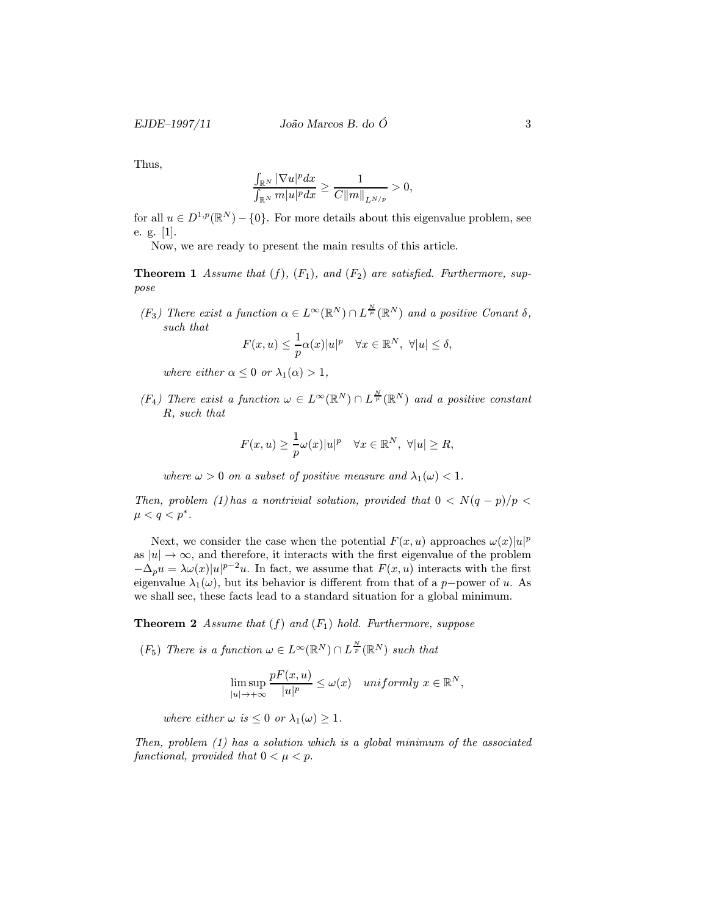EJDE–1997/11  $João Marcos B. do O$  3

Thus,

$$
\frac{\int_{\mathbb{R}^N} |\nabla u|^p dx}{\int_{\mathbb{R}^N} m|u|^p dx} \ge \frac{1}{C||m||_{L^{N/p}}} > 0,
$$

for all  $u \in D^{1,p}(\mathbb{R}^N) - \{0\}$ . For more details about this eigenvalue problem, see e. g. [1].

Now, we are ready to present the main results of this article.

**Theorem 1** Assume that  $(f)$ ,  $(F_1)$ , and  $(F_2)$  are satisfied. Furthermore, suppose

(F<sub>3</sub>) There exist a function  $\alpha \in L^{\infty}(\mathbb{R}^N) \cap L^{\frac{N}{p}}(\mathbb{R}^N)$  and a positive Conant  $\delta$ , such that

$$
F(x, u) \leq \frac{1}{p}\alpha(x)|u|^p \quad \forall x \in \mathbb{R}^N, \ \forall |u| \leq \delta,
$$

where either  $\alpha \leq 0$  or  $\lambda_1(\alpha) > 1$ ,

 $(F_4)$  There exist a function  $\omega \in L^{\infty}(\mathbb{R}^N) \cap L^{\frac{N}{p}}(\mathbb{R}^N)$  and a positive constant R, such that

$$
F(x, u) \ge \frac{1}{p}\omega(x)|u|^p \quad \forall x \in \mathbb{R}^N, \ \forall |u| \ge R,
$$

where  $\omega > 0$  on a subset of positive measure and  $\lambda_1(\omega) < 1$ .

Then, problem (1) has a nontrivial solution, provided that  $0 < N(q - p)/p <$  $\mu < q < p^*$ .

Next, we consider the case when the potential  $F(x, u)$  approaches  $\omega(x)|u|^p$ as  $|u| \to \infty$ , and therefore, it interacts with the first eigenvalue of the problem  $-\Delta_p u = \lambda \omega(x) |u|^{p-2}u$ . In fact, we assume that  $F(x, u)$  interacts with the first eigenvalue  $\lambda_1(\omega)$ , but its behavior is different from that of a p−power of u. As we shall see, these facts lead to a standard situation for a global minimum.

**Theorem 2** Assume that  $(f)$  and  $(F_1)$  hold. Furthermore, suppose

(F<sub>5</sub>) There is a function  $\omega \in L^{\infty}(\mathbb{R}^N) \cap L^{\frac{N}{p}}(\mathbb{R}^N)$  such that

$$
\limsup_{|u| \to +\infty} \frac{pF(x, u)}{|u|^p} \le \omega(x) \quad \text{uniformly } x \in \mathbb{R}^N,
$$

where either  $\omega$  is  $\leq 0$  or  $\lambda_1(\omega) \geq 1$ .

Then, problem (1) has a solution which is a global minimum of the associated functional, provided that  $0 < \mu < p$ .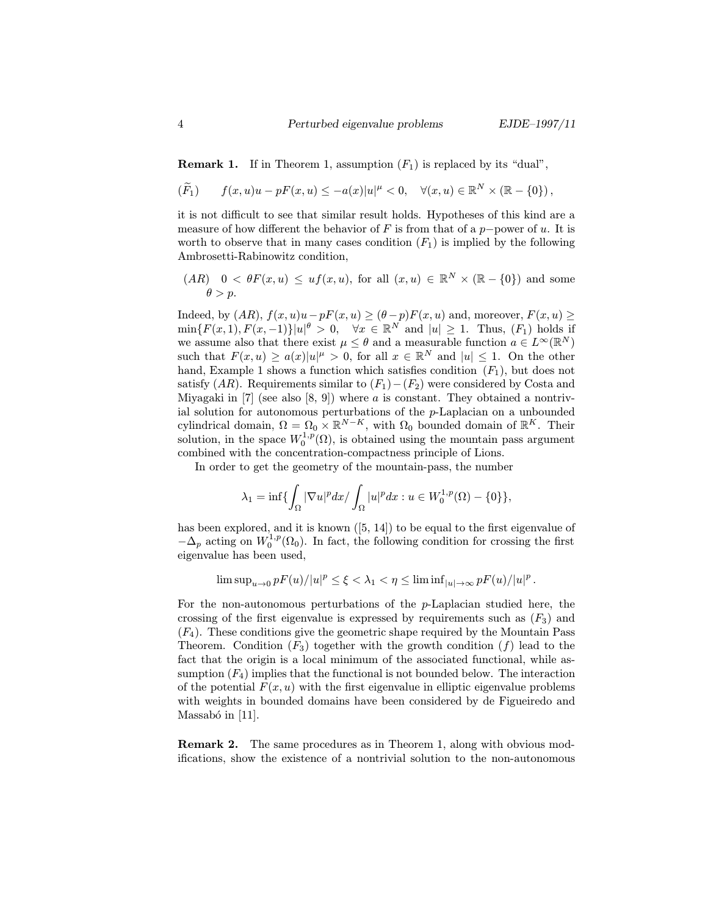**Remark 1.** If in Theorem 1, assumption  $(F_1)$  is replaced by its "dual",

$$
(\widetilde{F}_1) \qquad f(x,u)u - pF(x,u) \leq -a(x)|u|^{\mu} < 0, \quad \forall (x,u) \in \mathbb{R}^N \times (\mathbb{R} - \{0\}),
$$

it is not difficult to see that similar result holds. Hypotheses of this kind are a measure of how different the behavior of F is from that of a p−power of u. It is worth to observe that in many cases condition  $(F_1)$  is implied by the following Ambrosetti-Rabinowitz condition,

 $(AR)$  0 <  $\theta F(x, u) \leq uf(x, u)$ , for all  $(x, u) \in \mathbb{R}^N \times (\mathbb{R} - \{0\})$  and some  $\theta > p$ .

Indeed, by  $(AR)$ ,  $f(x, u)u - pF(x, u) \ge (\theta - p)F(x, u)$  and, moreover,  $F(x, u) \ge$  $\min\{F(x,1), F(x,-1)\}|u|^{\theta} > 0$ ,  $\forall x \in \mathbb{R}^N$  and  $|u| \ge 1$ . Thus,  $(F_1)$  holds if we assume also that there exist  $\mu \leq \theta$  and a measurable function  $a \in L^{\infty}(\mathbb{R}^N)$ such that  $F(x, u) \ge a(x)|u|^{\mu} > 0$ , for all  $x \in \mathbb{R}^N$  and  $|u| \le 1$ . On the other hand, Example 1 shows a function which satisfies condition  $(F_1)$ , but does not satisfy  $(AR)$ . Requirements similar to  $(F_1) - (F_2)$  were considered by Costa and Miyagaki in  $[7]$  (see also  $[8, 9]$ ) where a is constant. They obtained a nontrivial solution for autonomous perturbations of the  $p$ -Laplacian on a unbounded cylindrical domain,  $\Omega = \Omega_0 \times \mathbb{R}^{N-K}$ , with  $\Omega_0$  bounded domain of  $\mathbb{R}^K$ . Their solution, in the space  $W_0^{1,p}(\Omega)$ , is obtained using the mountain pass argument combined with the concentration-compactness principle of Lions.

In order to get the geometry of the mountain-pass, the number

$$
\lambda_1=\inf\{\int_{\Omega}|\nabla u|^pdx/\int_{\Omega}|u|^pdx: u\in W^{1,p}_0(\Omega)-\{0\}\},
$$

has been explored, and it is known  $(5, 14)$  to be equal to the first eigenvalue of  $-\Delta_p$  acting on  $W_0^{1,p}(\Omega_0)$ . In fact, the following condition for crossing the first eigenvalue has been used,

$$
\limsup\nolimits_{u\to 0}pF(u)/|u|^p\le \xi<\lambda_1<\eta\le \liminf\nolimits_{|u|\to\infty}pF(u)/|u|^p\,.
$$

For the non-autonomous perturbations of the p-Laplacian studied here, the crossing of the first eigenvalue is expressed by requirements such as  $(F_3)$  and  $(F_4)$ . These conditions give the geometric shape required by the Mountain Pass Theorem. Condition  $(F_3)$  together with the growth condition  $(f)$  lead to the fact that the origin is a local minimum of the associated functional, while assumption  $(F_4)$  implies that the functional is not bounded below. The interaction of the potential  $F(x, u)$  with the first eigenvalue in elliptic eigenvalue problems with weights in bounded domains have been considered by de Figueiredo and Massabó in  $[11]$ .

Remark 2. The same procedures as in Theorem 1, along with obvious modifications, show the existence of a nontrivial solution to the non-autonomous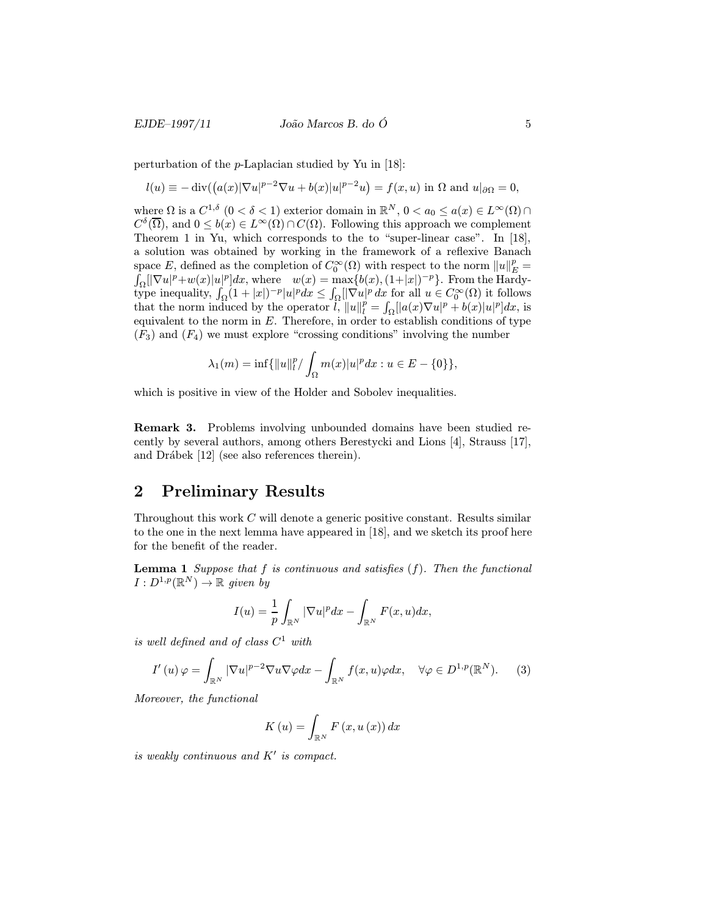#### EJDE–1997/11  $\qquad \qquad$  João Marcos B. do Ó 5

perturbation of the p-Laplacian studied by Yu in [18]:

$$
l(u) \equiv -\operatorname{div}\left(\left(a(x)|\nabla u|^{p-2}\nabla u + b(x)|u|^{p-2}u\right) = f(x,u) \text{ in } \Omega \text{ and } u|_{\partial\Omega} = 0,
$$

where  $\Omega$  is a  $C^{1,\delta}$   $(0 < \delta < 1)$  exterior domain in  $\mathbb{R}^N$ ,  $0 < a_0 \leq a(x) \in L^{\infty}(\Omega) \cap$  $C^{\delta}(\overline{\Omega})$ , and  $0 \leq b(x) \in L^{\infty}(\Omega) \cap C(\Omega)$ . Following this approach we complement Theorem 1 in Yu, which corresponds to the to "super-linear case". In [18], a solution was obtained by working in the framework of a reflexive Banach space E, defined as the completion of  $C_0^{\infty}(\Omega)$  with respect to the norm  $||u||_E^p =$ <br>  $\int_{\Omega} |[\nabla u|^p + w(x)|u|^p]dx$ , where  $w(x) = \max\{b(x), (1+|x|)^{-p}\}\$ . From the Hardy- $\sum_{\Omega} [|\nabla u|^p + w(x)|u|^p] dx$ , where  $w(x) = \max\{b(x), (1+|x|)^{-p}\}.$  From the Hardytype inequality,  $\int_{\Omega} (1+|x|)^{-p} |u|^p dx \leq \int_{\Omega} [|\nabla u|^p dx]$  for all  $u \in C_0^{\infty}(\Omega)$  it follows that the norm induced by the operator  $\hat{l}$ ,  $||u||_l^p = \int_{\Omega} ||a(x)\nabla u|^p + b(x)|u|^p dx$ , is equivalent to the norm in  $E$ . Therefore, in order to establish conditions of type  $(F_3)$  and  $(F_4)$  we must explore "crossing conditions" involving the number

$$
\lambda_1(m) = \inf \{ ||u||_l^p / \int_{\Omega} m(x) |u|^p dx : u \in E - \{0\} \},\
$$

which is positive in view of the Holder and Sobolev inequalities.

Remark 3. Problems involving unbounded domains have been studied recently by several authors, among others Berestycki and Lions [4], Strauss [17], and Drábek [12] (see also references therein).

### 2 Preliminary Results

Throughout this work C will denote a generic positive constant. Results similar to the one in the next lemma have appeared in [18], and we sketch its proof here for the benefit of the reader.

**Lemma 1** Suppose that  $f$  is continuous and satisfies  $(f)$ . Then the functional  $I: D^{1,p}(\mathbb{R}^N) \to \mathbb{R}$  given by

$$
I(u) = \frac{1}{p} \int_{\mathbb{R}^N} |\nabla u|^p dx - \int_{\mathbb{R}^N} F(x, u) dx,
$$

is well defined and of class  $C^1$  with

$$
I'(u)\varphi = \int_{\mathbb{R}^N} |\nabla u|^{p-2} \nabla u \nabla \varphi dx - \int_{\mathbb{R}^N} f(x, u)\varphi dx, \quad \forall \varphi \in D^{1, p}(\mathbb{R}^N). \tag{3}
$$

Moreover, the functional

$$
K\left(u\right) = \int_{\mathbb{R}^N} F\left(x, u\left(x\right)\right) dx
$$

is weakly continuous and  $K'$  is compact.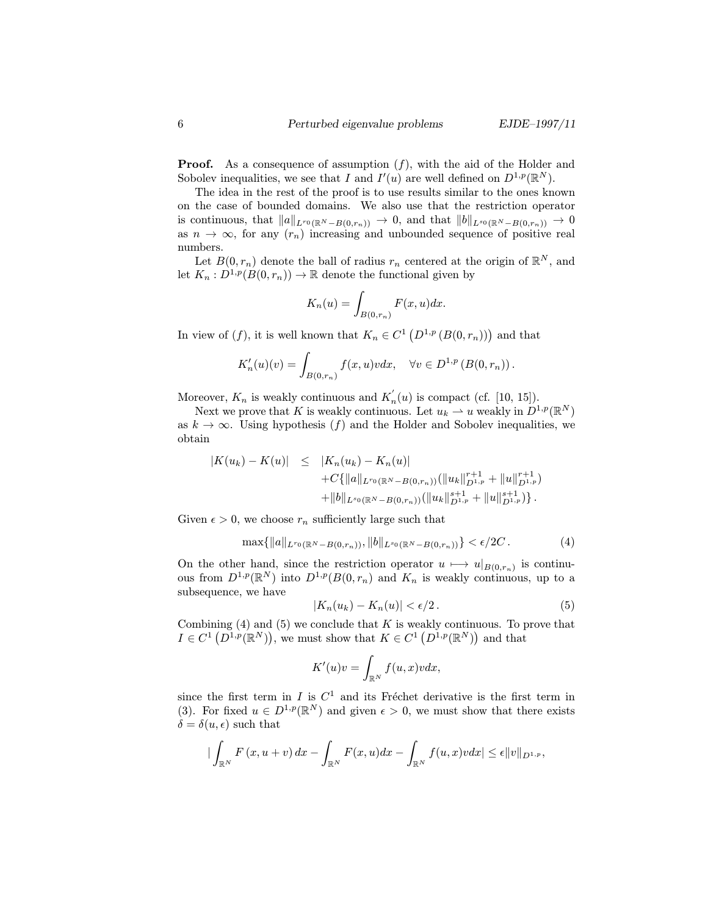**Proof.** As a consequence of assumption  $(f)$ , with the aid of the Holder and Sobolev inequalities, we see that I and  $I'(u)$  are well defined on  $D^{1,p}(\mathbb{R}^N)$ .

The idea in the rest of the proof is to use results similar to the ones known on the case of bounded domains. We also use that the restriction operator is continuous, that  $||a||_{L^{r_0}(\mathbb{R}^N - B(0,r_n))} \to 0$ , and that  $||b||_{L^{s_0}(\mathbb{R}^N - B(0,r_n))} \to 0$ as  $n \to \infty$ , for any  $(r_n)$  increasing and unbounded sequence of positive real numbers.

Let  $B(0, r_n)$  denote the ball of radius  $r_n$  centered at the origin of  $\mathbb{R}^N$ , and let  $K_n: D^{1,p}(B(0,r_n)) \to \mathbb{R}$  denote the functional given by

$$
K_n(u) = \int_{B(0,r_n)} F(x, u) dx.
$$

In view of  $(f)$ , it is well known that  $K_n \in C^1(D^{1,p}(B(0,r_n)))$  and that

$$
K'_n(u)(v) = \int_{B(0,r_n)} f(x,u)v dx, \quad \forall v \in D^{1,p}(B(0,r_n)).
$$

Moreover,  $K_n$  is weakly continuous and  $K'_n(u)$  is compact (cf. [10, 15]).

Next we prove that K is weakly continuous. Let  $u_k \rightharpoonup u$  weakly in  $\overline{D}^{1,p}(\mathbb{R}^N)$ as  $k \to \infty$ . Using hypothesis (f) and the Holder and Sobolev inequalities, we obtain

$$
|K(u_k) - K(u)| \leq |K_n(u_k) - K_n(u)| + C\{|u_k||_{L^{r_0}(\mathbb{R}^N - B(0,r_n))} (||u_k||_{D^{1,p}}^{r+1} + ||u||_{D^{1,p}}^{r+1}) + ||b||_{L^{s_0}(\mathbb{R}^N - B(0,r_n))} (||u_k||_{D^{1,p}}^{s+1} + ||u||_{D^{1,p}}^{s+1}) \}.
$$

Given  $\epsilon > 0$ , we choose  $r_n$  sufficiently large such that

$$
\max\{\|a\|_{L^{r_0}(\mathbb{R}^N-B(0,r_n))},\|b\|_{L^{s_0}(\mathbb{R}^N-B(0,r_n))}\}<\epsilon/2C.
$$
 (4)

On the other hand, since the restriction operator  $u \mapsto u|_{B(0,r_n)}$  is continuous from  $D^{1,p}(\mathbb{R}^N)$  into  $D^{1,p}(B(0,r_n))$  and  $K_n$  is weakly continuous, up to a subsequence, we have

$$
|K_n(u_k) - K_n(u)| < \epsilon/2. \tag{5}
$$

Combining  $(4)$  and  $(5)$  we conclude that K is weakly continuous. To prove that  $I \in C^1(D^{1,p}(\mathbb{R}^N))$ , we must show that  $K \in C^1(D^{1,p}(\mathbb{R}^N))$  and that

$$
K'(u)v = \int_{\mathbb{R}^N} f(u, x)v dx,
$$

since the first term in  $I$  is  $C^1$  and its Fréchet derivative is the first term in (3). For fixed  $u \in D^{1,p}(\mathbb{R}^N)$  and given  $\epsilon > 0$ , we must show that there exists  $\delta = \delta(u, \epsilon)$  such that

$$
|\int_{\mathbb{R}^N} F(x, u+v) dx - \int_{\mathbb{R}^N} F(x, u) dx - \int_{\mathbb{R}^N} f(u, x) v dx| \leq \epsilon ||v||_{D^{1, p}},
$$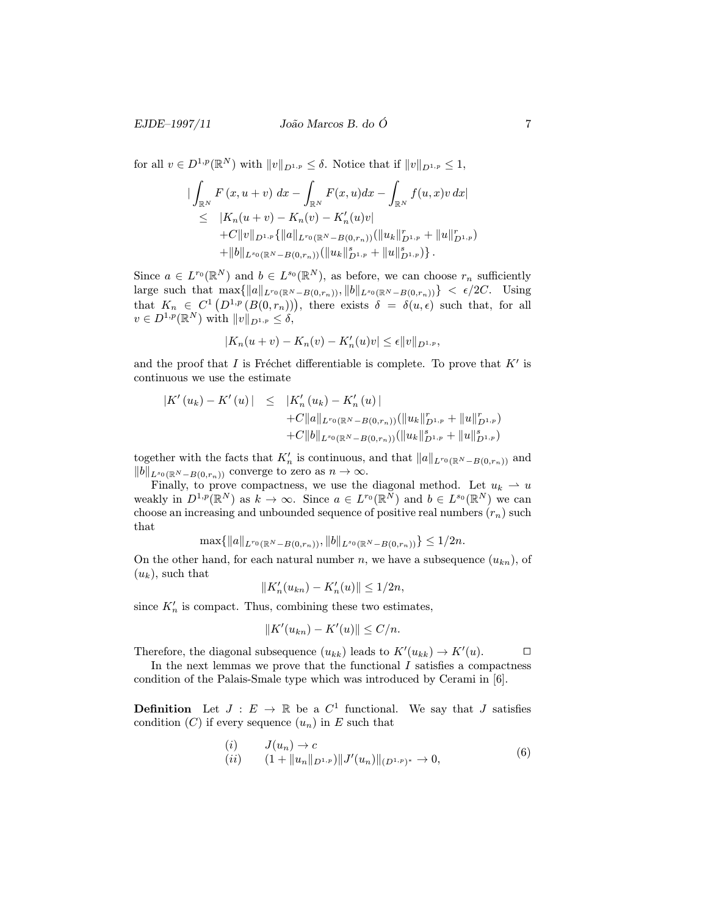#### EJDE–1997/11  $João Marcos B. do O$  7

for all  $v \in D^{1,p}(\mathbb{R}^N)$  with  $||v||_{D^{1,p}} \leq \delta$ . Notice that if  $||v||_{D^{1,p}} \leq 1$ ,

$$
\begin{aligned}\n&\left|\int_{\mathbb{R}^N} F(x, u+v) \, dx - \int_{\mathbb{R}^N} F(x, u) dx - \int_{\mathbb{R}^N} f(u, x)v \, dx\right| \\
&\leq \quad |K_n(u+v) - K_n(v) - K'_n(u)v| \\
&+ C \|v\|_{D^{1,p}} \{ \|a\|_{L^{r_0}(\mathbb{R}^N - B(0,r_n))} (\|u_k\|_{D^{1,p}}^r + \|u\|_{D^{1,p}}^r) \\
&+ \|b\|_{L^{s_0}(\mathbb{R}^N - B(0,r_n))} (\|u_k\|_{D^{1,p}}^s + \|u\|_{D^{1,p}}^s)\}.\n\end{aligned}
$$

Since  $a \in L^{r_0}(\mathbb{R}^N)$  and  $b \in L^{s_0}(\mathbb{R}^N)$ , as before, we can choose  $r_n$  sufficiently large such that  $\max\{\|a\|_{L^{r_0}(\mathbb{R}^N - B(0,r_n))}, \|b\|_{L^{s_0}(\mathbb{R}^N - B(0,r_n))}\} < \epsilon/2C$ . Using that  $K_n \in C^1(D^{1,p}(B(0,r_n)))$ , there exists  $\delta = \delta(u,\epsilon)$  such that, for all  $v \in D^{1,p}(\mathbb{R}^N)$  with  $||v||_{D^{1,p}} \leq \delta$ ,

$$
|K_n(u + v) - K_n(v) - K'_n(u)v| \le \epsilon ||v||_{D^{1,p}},
$$

and the proof that I is Fréchet differentiable is complete. To prove that  $K'$  is continuous we use the estimate

$$
|K'(u_{k}) - K'(u)| \leq |K'_{n}(u_{k}) - K'_{n}(u)|
$$
  
+C||a||\_{L^{r\_{0}}(\mathbb{R}^{N} - B(0,r\_{n}))} (||u\_{k}||^{r}\_{D^{1,p}} + ||u||^{r}\_{D^{1,p}})  
+C||b||\_{L^{s\_{0}}(\mathbb{R}^{N} - B(0,r\_{n}))} (||u\_{k}||^{s}\_{D^{1,p}} + ||u||^{s}\_{D^{1,p}})

together with the facts that  $K'_n$  is continuous, and that  $||a||_{L^{r_0}(\mathbb{R}^N - B(0,r_n))}$  and  $||b||_{L^{s_0}(\mathbb{R}^N - B(0,r_n))}$  converge to zero as  $n \to \infty$ .

Finally, to prove compactness, we use the diagonal method. Let  $u_k \rightharpoonup u$ weakly in  $D^{1,p}(\mathbb{R}^N)$  as  $k \to \infty$ . Since  $a \in L^{r_0}(\mathbb{R}^N)$  and  $b \in L^{s_0}(\mathbb{R}^N)$  we can choose an increasing and unbounded sequence of positive real numbers  $(r_n)$  such that

$$
\max\{\|a\|_{L^{r_0}(\mathbb{R}^N-B(0,r_n))},\|b\|_{L^{s_0}(\mathbb{R}^N-B(0,r_n))}\}\leq 1/2n.
$$

On the other hand, for each natural number n, we have a subsequence  $(u_{kn})$ , of  $(u_k)$ , such that

$$
||K'_n(u_{kn}) - K'_n(u)|| \le 1/2n,
$$

since  $K'_n$  is compact. Thus, combining these two estimates,

$$
||K'(u_{kn}) - K'(u)|| \le C/n.
$$

Therefore, the diagonal subsequence  $(u_{kk})$  leads to  $K'(u_{kk}) \to K'(u)$ .

In the next lemmas we prove that the functional  $I$  satisfies a compactness condition of the Palais-Smale type which was introduced by Cerami in [6].

**Definition** Let  $J : E \to \mathbb{R}$  be a  $C^1$  functional. We say that J satisfies condition  $(C)$  if every sequence  $(u_n)$  in E such that

$$
\begin{array}{ll}\n(i) & J(u_n) \to c \\
(ii) & (1 + \|u_n\|_{D^{1,p}}) \|J'(u_n)\|_{(D^{1,p})^*} \to 0,\n\end{array}\n\tag{6}
$$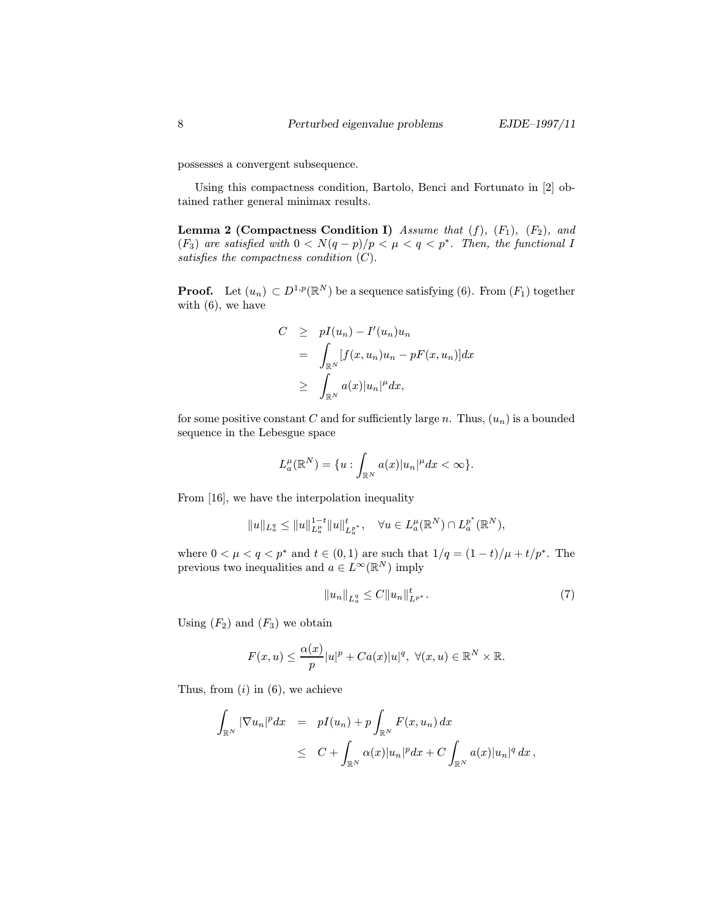possesses a convergent subsequence.

Using this compactness condition, Bartolo, Benci and Fortunato in [2] obtained rather general minimax results.

**Lemma 2 (Compactness Condition I)** Assume that  $(f)$ ,  $(F_1)$ ,  $(F_2)$ , and  $(F_3)$  are satisfied with  $0 < N(q - p)/p < \mu < q < p^*$ . Then, the functional I satisfies the compactness condition  $(C)$ .

**Proof.** Let  $(u_n) \subset D^{1,p}(\mathbb{R}^N)$  be a sequence satisfying (6). From  $(F_1)$  together with  $(6)$ , we have

$$
C \geq pI(u_n) - I'(u_n)u_n
$$
  
= 
$$
\int_{\mathbb{R}^N} [f(x, u_n)u_n - pF(x, u_n)]dx
$$
  

$$
\geq \int_{\mathbb{R}^N} a(x)|u_n|^{\mu} dx,
$$

for some positive constant C and for sufficiently large n. Thus,  $(u_n)$  is a bounded sequence in the Lebesgue space

$$
L_a^\mu(\mathbb{R}^N)=\{u:\int_{\mathbb{R}^N}a(x)|u_n|^\mu dx<\infty\}.
$$

From [16], we have the interpolation inequality

$$
||u||_{L_a^q} \leq ||u||_{L_a^{\mu}}^{1-t} ||u||_{L_a^{p^*}}^t, \quad \forall u \in L_a^{\mu}(\mathbb{R}^N) \cap L_a^{p^*}(\mathbb{R}^N),
$$

where  $0 < \mu < q < p^*$  and  $t \in (0,1)$  are such that  $1/q = (1-t)/\mu + t/p^*$ . The previous two inequalities and  $a \in L^{\infty}(\mathbb{R}^N)$  imply

$$
||u_n||_{L_a^q} \le C||u_n||_{L^{p^*}}^t.
$$
\n(7)

Using  $(F_2)$  and  $(F_3)$  we obtain

$$
F(x, u) \le \frac{\alpha(x)}{p}|u|^p + Ca(x)|u|^q, \ \forall (x, u) \in \mathbb{R}^N \times \mathbb{R}.
$$

Thus, from  $(i)$  in  $(6)$ , we achieve

$$
\int_{\mathbb{R}^N} |\nabla u_n|^p dx = pI(u_n) + p \int_{\mathbb{R}^N} F(x, u_n) dx
$$
  
\n
$$
\leq C + \int_{\mathbb{R}^N} \alpha(x) |u_n|^p dx + C \int_{\mathbb{R}^N} a(x) |u_n|^q dx,
$$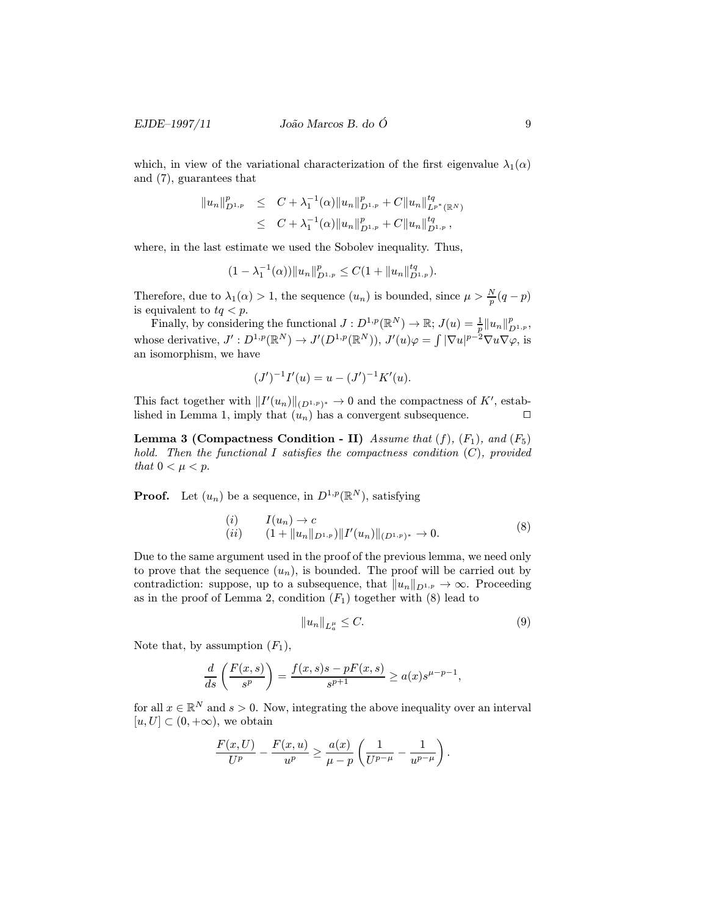#### EJDE–1997/11  $João Marcos B. do O$  9

which, in view of the variational characterization of the first eigenvalue  $\lambda_1(\alpha)$ and (7), guarantees that

$$
||u_n||_{D^{1,p}}^p \leq C + \lambda_1^{-1}(\alpha) ||u_n||_{D^{1,p}}^p + C ||u_n||_{L^{p^*}(\mathbb{R}^N)}^{tq}
$$
  
 
$$
\leq C + \lambda_1^{-1}(\alpha) ||u_n||_{D^{1,p}}^p + C ||u_n||_{D^{1,p}}^{tq},
$$

where, in the last estimate we used the Sobolev inequality. Thus,

$$
(1 - \lambda_1^{-1}(\alpha)) \|u_n\|_{D^{1,p}}^p \le C(1 + \|u_n\|_{D^{1,p}}^{tq}).
$$

Therefore, due to  $\lambda_1(\alpha) > 1$ , the sequence  $(u_n)$  is bounded, since  $\mu > \frac{N}{p}(q-p)$ is equivalent to  $tq < p$ .

Finally, by considering the functional  $J: D^{1,p}(\mathbb{R}^N) \to \mathbb{R}; J(u) = \frac{1}{p} ||u_n||_{D^{1,p}}^p$ whose derivative,  $J' : D^{1,p}(\mathbb{R}^N) \to J'(D^{1,p}(\mathbb{R}^N))$ ,  $J'(u)\varphi = \int |\nabla u|^{p-2} \nabla u \nabla \varphi$ , is an isomorphism, we have

$$
(J')^{-1}I'(u) = u - (J')^{-1}K'(u).
$$

This fact together with  $||I'(u_n)||_{(D^{1,p})^*} \to 0$  and the compactness of K', established in Lemma 1, imply that  $(u_n)$  has a convergent subsequence.

**Lemma 3 (Compactness Condition - II)** Assume that  $(f)$ ,  $(F_1)$ , and  $(F_5)$ hold. Then the functional I satisfies the compactness condition  $(C)$ , provided that  $0 < \mu < p$ .

**Proof.** Let  $(u_n)$  be a sequence, in  $D^{1,p}(\mathbb{R}^N)$ , satisfying

$$
(i) \tI(u_n) \to c(ii) \t(1 + \|u_n\|_{D^{1,p}}) \|I'(u_n)\|_{(D^{1,p})^*} \to 0.
$$
\t(8)

Due to the same argument used in the proof of the previous lemma, we need only to prove that the sequence  $(u_n)$ , is bounded. The proof will be carried out by contradiction: suppose, up to a subsequence, that  $||u_n||_{D^{1,p}} \to \infty$ . Proceeding as in the proof of Lemma 2, condition  $(F_1)$  together with (8) lead to

$$
||u_n||_{L_a^{\mu}} \le C. \tag{9}
$$

Note that, by assumption  $(F_1)$ ,

$$
\frac{d}{ds}\left(\frac{F(x,s)}{s^p}\right) = \frac{f(x,s)s - pF(x,s)}{s^{p+1}} \ge a(x)s^{\mu-p-1},
$$

for all  $x \in \mathbb{R}^N$  and  $s > 0$ . Now, integrating the above inequality over an interval  $[u, U] \subset (0, +\infty)$ , we obtain

$$
\frac{F(x,U)}{U^p}-\frac{F(x,u)}{u^p}\geq \frac{a(x)}{\mu-p}\left(\frac{1}{U^{p-\mu}}-\frac{1}{u^{p-\mu}}\right).
$$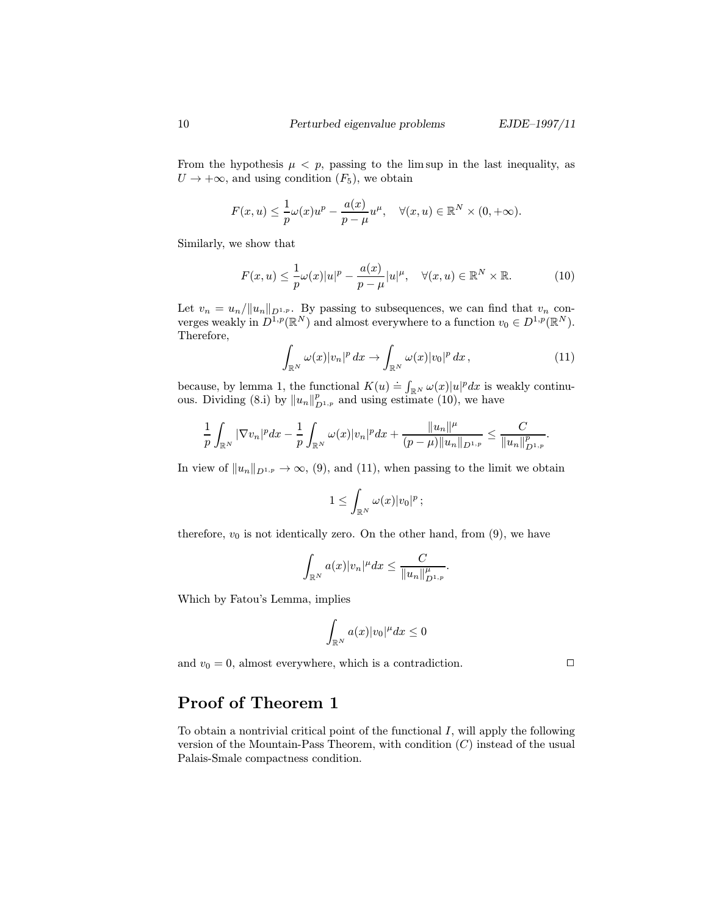From the hypothesis  $\mu < p$ , passing to the limsup in the last inequality, as  $U \rightarrow +\infty$ , and using condition  $(F_5)$ , we obtain

$$
F(x, u) \leq \frac{1}{p}\omega(x)u^p - \frac{a(x)}{p-\mu}u^{\mu}, \quad \forall (x, u) \in \mathbb{R}^N \times (0, +\infty).
$$

Similarly, we show that

$$
F(x, u) \le \frac{1}{p}\omega(x)|u|^p - \frac{a(x)}{p-\mu}|u|^\mu, \quad \forall (x, u) \in \mathbb{R}^N \times \mathbb{R}.
$$
 (10)

Let  $v_n = u_n / ||u_n||_{D^{1,p}}$ . By passing to subsequences, we can find that  $v_n$  converges weakly in  $D^{1,p}(\mathbb{R}^N)$  and almost everywhere to a function  $v_0 \in D^{1,p}(\mathbb{R}^N)$ . Therefore,

$$
\int_{\mathbb{R}^N} \omega(x)|v_n|^p \, dx \to \int_{\mathbb{R}^N} \omega(x)|v_0|^p \, dx \,, \tag{11}
$$

because, by lemma 1, the functional  $K(u) = \int_{\mathbb{R}^N} \omega(x)|u|^p dx$  is weakly continuous. Dividing (8.i) by  $||u_n||_{D^{1,p}}^p$  and using estimate (10), we have

$$
\frac{1}{p}\int_{\mathbb{R}^N}|\nabla v_n|^pdx-\frac{1}{p}\int_{\mathbb{R}^N}\omega(x)|v_n|^pdx+\frac{\|u_n\|^{\mu}}{(p-\mu)\|u_n\|_{D^{1,p}}}\leq \frac{C}{\|u_n\|_{D^{1,p}}^p}.
$$

In view of  $||u_n||_{D^{1,p}} \to \infty$ , (9), and (11), when passing to the limit we obtain

$$
1\leq \int_{\mathbb{R}^N}\omega(x)|v_0|^p\,;
$$

therefore,  $v_0$  is not identically zero. On the other hand, from  $(9)$ , we have

$$
\int_{\mathbb{R}^N}a(x)|v_n|^\mu dx\leq \frac{C}{\|u_n\|_{D^{1,p}}^\mu}.
$$

Which by Fatou's Lemma, implies

$$
\int_{\mathbb{R}^N} a(x)|v_0|^\mu dx \le 0
$$

and  $v_0 = 0$ , almost everywhere, which is a contradiction.

### Proof of Theorem 1

To obtain a nontrivial critical point of the functional  $I$ , will apply the following version of the Mountain-Pass Theorem, with condition  $(C)$  instead of the usual Palais-Smale compactness condition.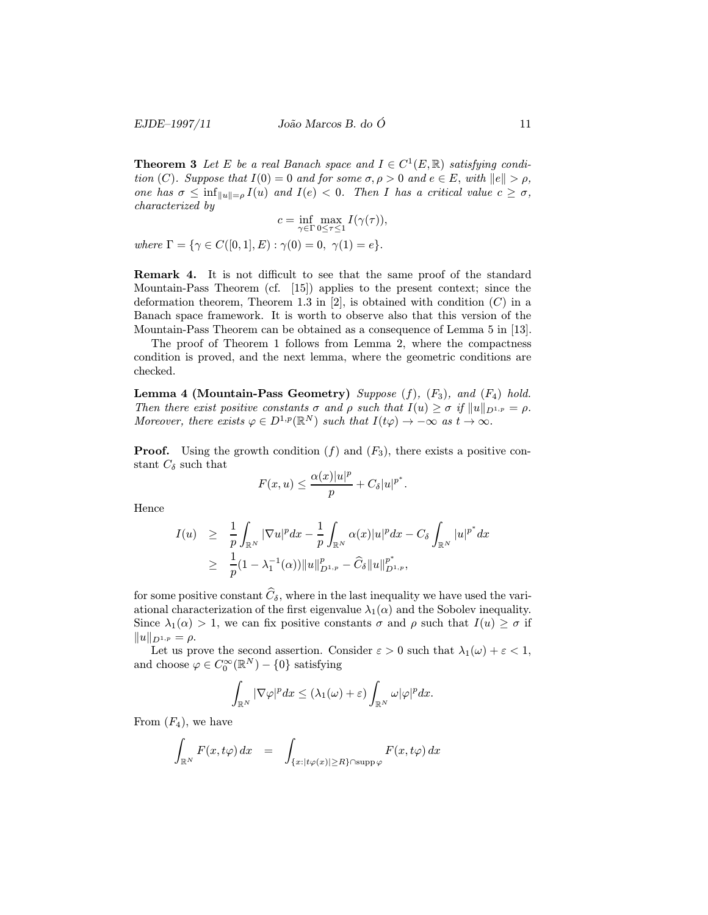**Theorem 3** Let E be a real Banach space and  $I \in C^1(E, \mathbb{R})$  satisfying condition (C). Suppose that  $I(0) = 0$  and for some  $\sigma, \rho > 0$  and  $e \in E$ , with  $||e|| > \rho$ , one has  $\sigma \leq \inf_{\|u\|=\rho} I(u)$  and  $I(e) < 0$ . Then I has a critical value  $c \geq \sigma$ , characterized by

$$
c = \inf_{\gamma \in \Gamma} \max_{0 \le \tau \le 1} I(\gamma(\tau)),
$$

where  $\Gamma = \{ \gamma \in C([0,1], E) : \gamma(0) = 0, \gamma(1) = e \}.$ 

Remark 4. It is not difficult to see that the same proof of the standard Mountain-Pass Theorem (cf. [15]) applies to the present context; since the deformation theorem, Theorem 1.3 in [2], is obtained with condition  $(C)$  in a Banach space framework. It is worth to observe also that this version of the Mountain-Pass Theorem can be obtained as a consequence of Lemma 5 in [13].

The proof of Theorem 1 follows from Lemma 2, where the compactness condition is proved, and the next lemma, where the geometric conditions are checked.

Lemma 4 (Mountain-Pass Geometry) Suppose  $(f)$ ,  $(F_3)$ , and  $(F_4)$  hold. Then there exist positive constants  $\sigma$  and  $\rho$  such that  $I(u) \geq \sigma$  if  $||u||_{D^{1,p}} = \rho$ . Moreover, there exists  $\varphi \in D^{1,p}(\mathbb{R}^N)$  such that  $I(t\varphi) \to -\infty$  as  $t \to \infty$ .

**Proof.** Using the growth condition  $(f)$  and  $(F_3)$ , there exists a positive constant  $C_{\delta}$  such that

$$
F(x, u) \le \frac{\alpha(x)|u|^p}{p} + C_{\delta}|u|^{p^*}.
$$

Hence

$$
I(u) \geq \frac{1}{p} \int_{\mathbb{R}^N} |\nabla u|^p dx - \frac{1}{p} \int_{\mathbb{R}^N} \alpha(x) |u|^p dx - C_{\delta} \int_{\mathbb{R}^N} |u|^{p^*} dx
$$
  
 
$$
\geq \frac{1}{p} (1 - \lambda_1^{-1}(\alpha)) \|u\|_{D^{1,p}}^p - \widehat{C}_{\delta} \|u\|_{D^{1,p}}^{p^*},
$$

for some positive constant  $\widehat{C}_{\delta}$ , where in the last inequality we have used the variational characterization of the first eigenvalue  $\lambda_1(\alpha)$  and the Sobolev inequality. Since  $\lambda_1(\alpha) > 1$ , we can fix positive constants  $\sigma$  and  $\rho$  such that  $I(u) \geq \sigma$  if  $||u||_{D^{1,p}} = \rho.$ 

Let us prove the second assertion. Consider  $\varepsilon > 0$  such that  $\lambda_1(\omega) + \varepsilon < 1$ , and choose  $\varphi \in C_0^{\infty}(\mathbb{R}^N) - \{0\}$  satisfying

$$
\int_{\mathbb{R}^N} |\nabla \varphi|^p dx \leq (\lambda_1(\omega) + \varepsilon) \int_{\mathbb{R}^N} \omega |\varphi|^p dx.
$$

From  $(F_4)$ , we have

$$
\int_{\mathbb{R}^N} F(x, t\varphi) dx = \int_{\{x : |t\varphi(x)| \ge R\} \cap \operatorname{supp} \varphi} F(x, t\varphi) dx
$$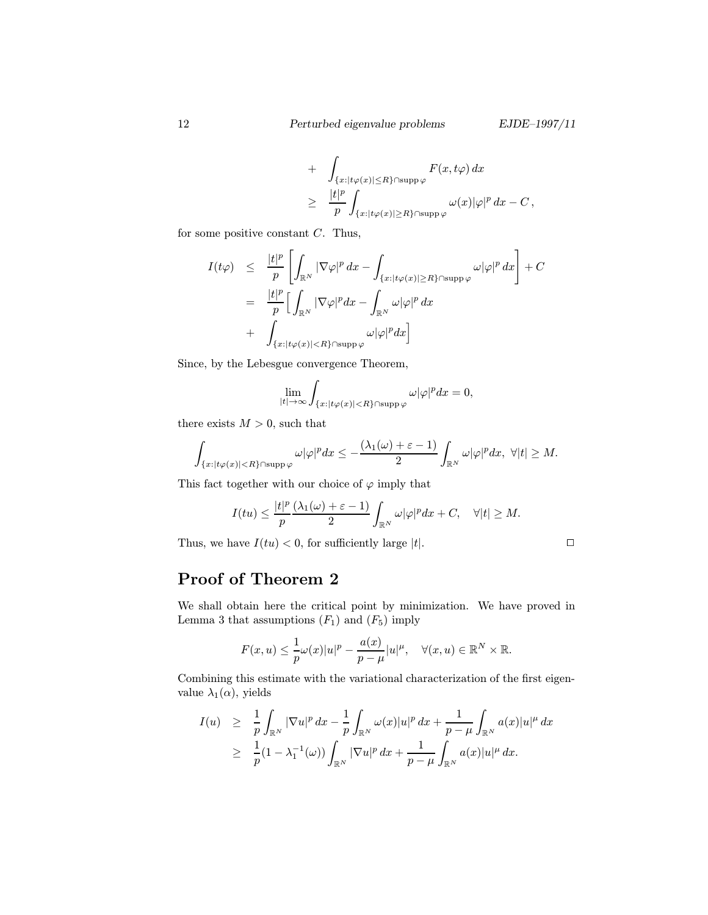+ 
$$
\int_{\{x:|t\varphi(x)|\leq R\}\cap \text{supp }\varphi} F(x,t\varphi) dx
$$
  
\n
$$
\geq \frac{|t|^p}{p} \int_{\{x:|t\varphi(x)|\geq R\}\cap \text{supp }\varphi} \omega(x)|\varphi|^p dx - C,
$$

for some positive constant  $C$ . Thus,

$$
I(t\varphi) \leq \frac{|t|^p}{p} \left[ \int_{\mathbb{R}^N} |\nabla \varphi|^p dx - \int_{\{x: |t\varphi(x)| \geq R\} \cap \text{supp}\varphi} \omega |\varphi|^p dx \right] + C
$$
  

$$
= \frac{|t|^p}{p} \left[ \int_{\mathbb{R}^N} |\nabla \varphi|^p dx - \int_{\mathbb{R}^N} \omega |\varphi|^p dx \right]
$$
  

$$
+ \int_{\{x: |t\varphi(x)| < R\} \cap \text{supp}\varphi} \omega |\varphi|^p dx \right]
$$

Since, by the Lebesgue convergence Theorem,

$$
\lim_{|t|\to\infty}\int_{\{x:|t\varphi(x)|
$$

there exists  $M > 0$ , such that

$$
\int_{\{x:|t\varphi(x)|
$$

This fact together with our choice of  $\varphi$  imply that

$$
I(tu)\leq \frac{|t|^p}{p}\frac{(\lambda_1(\omega)+\varepsilon-1)}{2}\int_{\mathbb{R}^N}\omega|\varphi|^pdx+C,\quad \forall |t|\geq M.
$$

Thus, we have  $I(tu) < 0$ , for sufficiently large |t|.

$$
\Box
$$

## Proof of Theorem 2

We shall obtain here the critical point by minimization. We have proved in Lemma 3 that assumptions  $(F_1)$  and  $(F_5)$  imply

$$
F(x, u) \leq \frac{1}{p}\omega(x)|u|^p - \frac{a(x)}{p - \mu}|u|^\mu, \quad \forall (x, u) \in \mathbb{R}^N \times \mathbb{R}.
$$

Combining this estimate with the variational characterization of the first eigenvalue  $\lambda_1(\alpha)$ , yields

$$
I(u) \geq \frac{1}{p} \int_{\mathbb{R}^N} |\nabla u|^p dx - \frac{1}{p} \int_{\mathbb{R}^N} \omega(x) |u|^p dx + \frac{1}{p - \mu} \int_{\mathbb{R}^N} a(x) |u|^{\mu} dx
$$
  
 
$$
\geq \frac{1}{p} (1 - \lambda_1^{-1}(\omega)) \int_{\mathbb{R}^N} |\nabla u|^p dx + \frac{1}{p - \mu} \int_{\mathbb{R}^N} a(x) |u|^{\mu} dx.
$$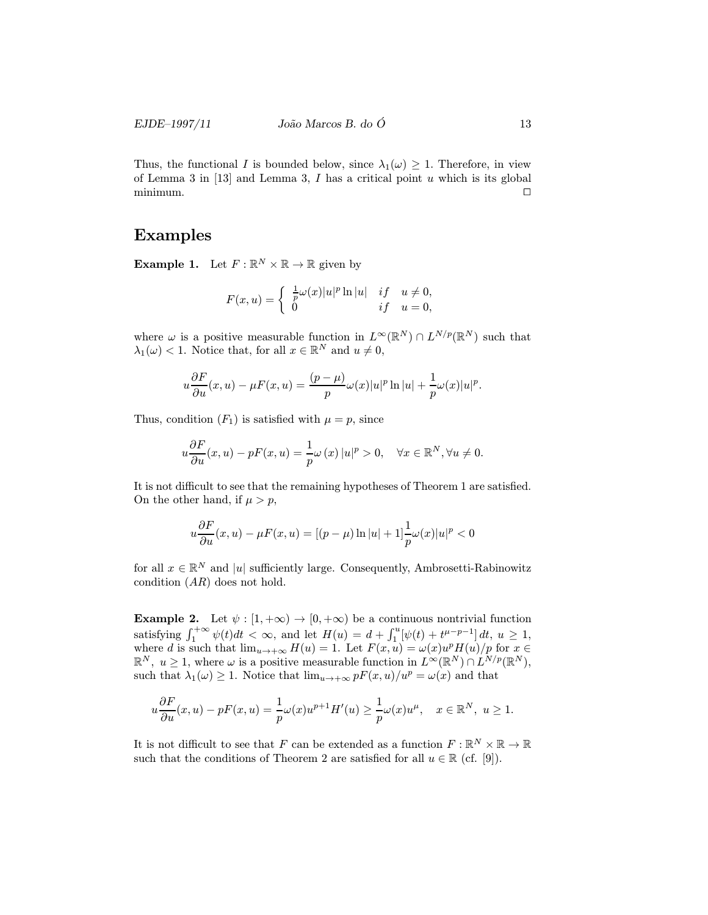Thus, the functional I is bounded below, since  $\lambda_1(\omega) \geq 1$ . Therefore, in view of Lemma 3 in  $[13]$  and Lemma 3, I has a critical point u which is its global minimum. <sup>2</sup>

### Examples

**Example 1.** Let  $F : \mathbb{R}^N \times \mathbb{R} \to \mathbb{R}$  given by

$$
F(x, u) = \begin{cases} \frac{1}{p}\omega(x)|u|^p \ln|u| & \text{if} \quad u \neq 0, \\ 0 & \text{if} \quad u = 0, \end{cases}
$$

where  $\omega$  is a positive measurable function in  $L^{\infty}(\mathbb{R}^N) \cap L^{N/p}(\mathbb{R}^N)$  such that  $\lambda_1(\omega) < 1$ . Notice that, for all  $x \in \mathbb{R}^N$  and  $u \neq 0$ ,

$$
u\frac{\partial F}{\partial u}(x,u) - \mu F(x,u) = \frac{(p-\mu)}{p}\omega(x)|u|^p \ln|u| + \frac{1}{p}\omega(x)|u|^p.
$$

Thus, condition  $(F_1)$  is satisfied with  $\mu = p$ , since

$$
u\frac{\partial F}{\partial u}(x,u) - pF(x,u) = \frac{1}{p}\omega(x)|u|^p > 0, \quad \forall x \in \mathbb{R}^N, \forall u \neq 0.
$$

It is not difficult to see that the remaining hypotheses of Theorem 1 are satisfied. On the other hand, if  $\mu > p$ ,

$$
u\frac{\partial F}{\partial u}(x,u) - \mu F(x,u) = \left[ (p-\mu)\ln|u| + 1 \right] \frac{1}{p}\omega(x)|u|^p < 0
$$

for all  $x \in \mathbb{R}^N$  and |u| sufficiently large. Consequently, Ambrosetti-Rabinowitz condition  $(AR)$  does not hold.

**Example 2.** Let  $\psi : [1, +\infty) \to [0, +\infty)$  be a continuous nontrivial function satisfying  $\int_1^{+\infty} \psi(t)dt < \infty$ , and let  $H(u) = d + \int_1^u [\psi(t) + t^{\mu-p-1}] dt$ ,  $u \ge 1$ , where d is such that  $\lim_{u\to+\infty} H(u) = 1$ . Let  $F(x, u) = \omega(x)u^p H(u)/p$  for  $x \in$  $\mathbb{R}^N$ ,  $u \geq 1$ , where  $\omega$  is a positive measurable function in  $L^{\infty}(\mathbb{R}^N) \cap L^{N/p}(\mathbb{R}^N)$ , such that  $\lambda_1(\omega) \geq 1$ . Notice that  $\lim_{u \to +\infty} pF(x, u)/u^p = \omega(x)$  and that

$$
u\frac{\partial F}{\partial u}(x,u)-pF(x,u)=\frac{1}{p}\omega(x)u^{p+1}H'(u)\geq \frac{1}{p}\omega(x)u^{\mu},\quad x\in\mathbb{R}^N,\,\,u\geq 1.
$$

It is not difficult to see that F can be extended as a function  $F: \mathbb{R}^N \times \mathbb{R} \to \mathbb{R}$ such that the conditions of Theorem 2 are satisfied for all  $u \in \mathbb{R}$  (cf. [9]).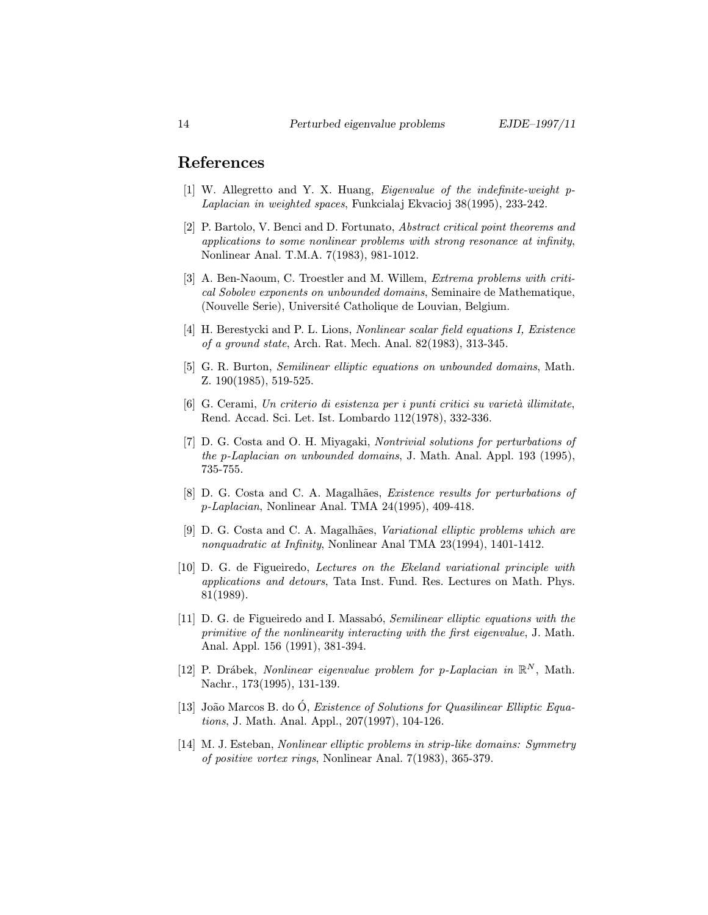#### References

- [1] W. Allegretto and Y. X. Huang, Eigenvalue of the indefinite-weight p-Laplacian in weighted spaces, Funkcialaj Ekvacioj 38(1995), 233-242.
- [2] P. Bartolo, V. Benci and D. Fortunato, Abstract critical point theorems and applications to some nonlinear problems with strong resonance at infinity, Nonlinear Anal. T.M.A. 7(1983), 981-1012.
- [3] A. Ben-Naoum, C. Troestler and M. Willem, Extrema problems with critical Sobolev exponents on unbounded domains, Seminaire de Mathematique, (Nouvelle Serie), Université Catholique de Louvian, Belgium.
- [4] H. Berestycki and P. L. Lions, Nonlinear scalar field equations I, Existence of a ground state, Arch. Rat. Mech. Anal. 82(1983), 313-345.
- [5] G. R. Burton, Semilinear elliptic equations on unbounded domains, Math. Z. 190(1985), 519-525.
- $[6]$  G. Cerami, Un criterio di esistenza per i punti critici su varietà illimitate, Rend. Accad. Sci. Let. Ist. Lombardo 112(1978), 332-336.
- [7] D. G. Costa and O. H. Miyagaki, Nontrivial solutions for perturbations of the p-Laplacian on unbounded domains, J. Math. Anal. Appl. 193 (1995), 735-755.
- [8] D. G. Costa and C. A. Magalhães, Existence results for perturbations of p-Laplacian, Nonlinear Anal. TMA 24(1995), 409-418.
- [9] D. G. Costa and C. A. Magalhães, *Variational elliptic problems which are* nonquadratic at Infinity, Nonlinear Anal TMA 23(1994), 1401-1412.
- [10] D. G. de Figueiredo, Lectures on the Ekeland variational principle with applications and detours, Tata Inst. Fund. Res. Lectures on Math. Phys. 81(1989).
- [11] D. G. de Figueiredo and I. Massabó, *Semilinear elliptic equations with the* primitive of the nonlinearity interacting with the first eigenvalue, J. Math. Anal. Appl. 156 (1991), 381-394.
- [12] P. Drábek, Nonlinear eigenvalue problem for p-Laplacian in  $\mathbb{R}^N$ , Math. Nachr., 173(1995), 131-139.
- [13] João Marcos B. do O, *Existence of Solutions for Quasilinear Elliptic Equa*tions, J. Math. Anal. Appl., 207(1997), 104-126.
- [14] M. J. Esteban, Nonlinear elliptic problems in strip-like domains: Symmetry of positive vortex rings, Nonlinear Anal. 7(1983), 365-379.